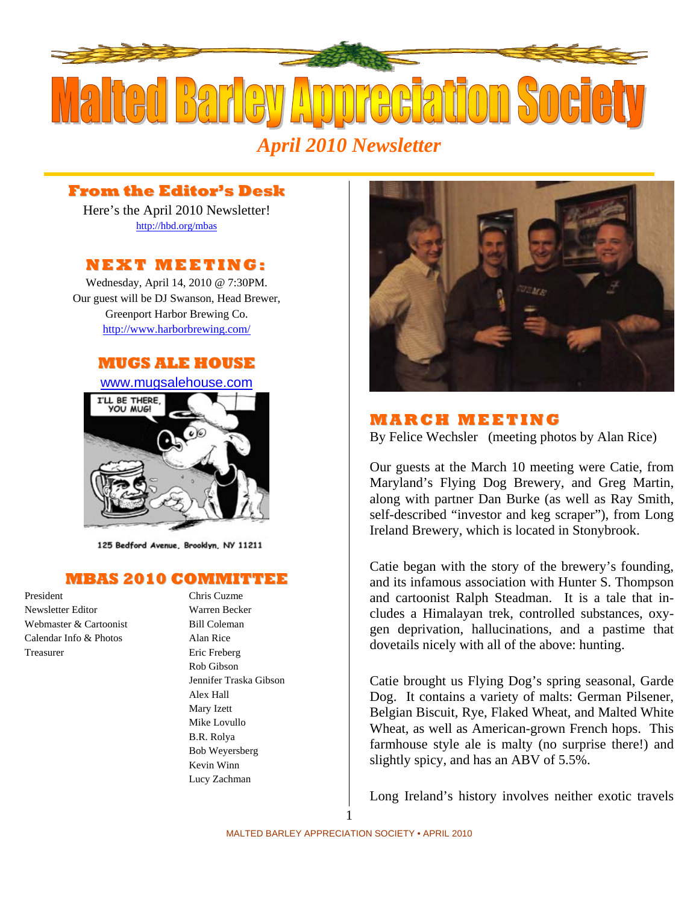

# **From the Editor's Desk**

Here's the April 2010 Newsletter! http://hbd.org/mbas

# **NEXT MEETI NG:**

Wednesday, April 14, 2010 @ 7:30PM. Our guest will be DJ Swanson, Head Brewer, Greenport Harbor Brewing Co. http://www.harborbrewing.com/

## **MUGS ALE HOUSE**

www.mugsalehouse.com



125 Bedford Avenue, Brooklyn, NY 11211

## **MBAS 2010 COMMITTEE**

President Chris Cuzme Newsletter Editor Warren Becker Webmaster & Cartoonist Bill Coleman Calendar Info & Photos Alan Rice Treasurer Eric Freberg

Rob Gibson Jennifer Traska Gibson Alex Hall Mary Izett Mike Lovullo B.R. Rolya Bob Weyersberg Kevin Winn Lucy Zachman



## **MAR C H MEETI N G**

By Felice Wechsler (meeting photos by Alan Rice)

Our guests at the March 10 meeting were Catie, from Maryland's Flying Dog Brewery, and Greg Martin, along with partner Dan Burke (as well as Ray Smith, self-described "investor and keg scraper"), from Long Ireland Brewery, which is located in Stonybrook.

Catie began with the story of the brewery's founding, and its infamous association with Hunter S. Thompson and cartoonist Ralph Steadman. It is a tale that includes a Himalayan trek, controlled substances, oxygen deprivation, hallucinations, and a pastime that dovetails nicely with all of the above: hunting.

Catie brought us Flying Dog's spring seasonal, Garde Dog. It contains a variety of malts: German Pilsener, Belgian Biscuit, Rye, Flaked Wheat, and Malted White Wheat, as well as American-grown French hops. This farmhouse style ale is malty (no surprise there!) and slightly spicy, and has an ABV of 5.5%.

Long Ireland's history involves neither exotic travels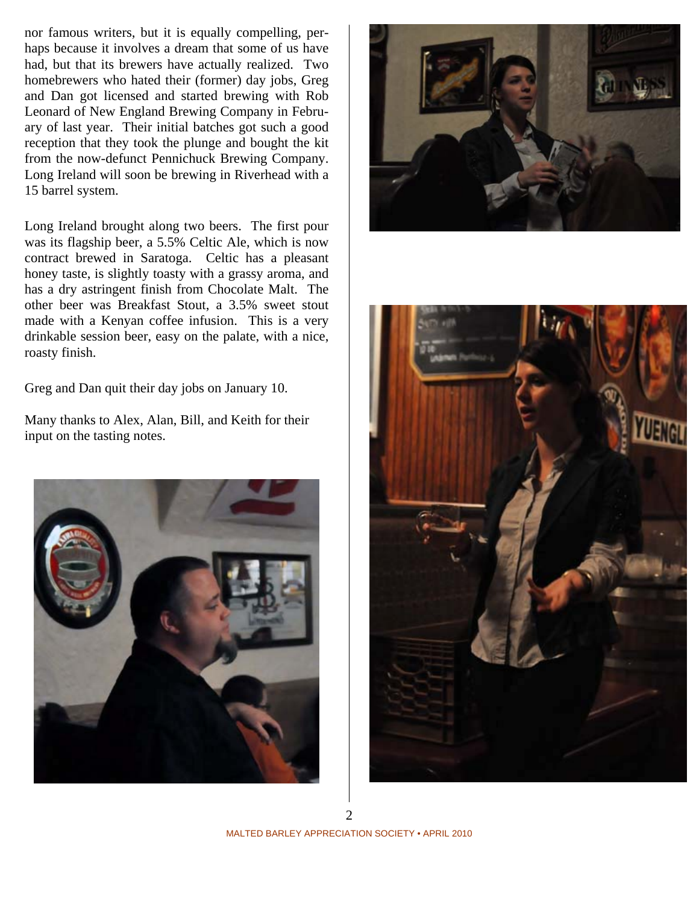nor famous writers, but it is equally compelling, perhaps because it involves a dream that some of us have had, but that its brewers have actually realized. Two homebrewers who hated their (former) day jobs, Greg and Dan got licensed and started brewing with Rob Leonard of New England Brewing Company in February of last year. Their initial batches got such a good reception that they took the plunge and bought the kit from the now-defunct Pennichuck Brewing Company. Long Ireland will soon be brewing in Riverhead with a 15 barrel system.

Long Ireland brought along two beers. The first pour was its flagship beer, a 5.5% Celtic Ale, which is now contract brewed in Saratoga. Celtic has a pleasant honey taste, is slightly toasty with a grassy aroma, and has a dry astringent finish from Chocolate Malt. The other beer was Breakfast Stout, a 3.5% sweet stout made with a Kenyan coffee infusion. This is a very drinkable session beer, easy on the palate, with a nice, roasty finish.

Greg and Dan quit their day jobs on January 10.

Many thanks to Alex, Alan, Bill, and Keith for their input on the tasting notes.





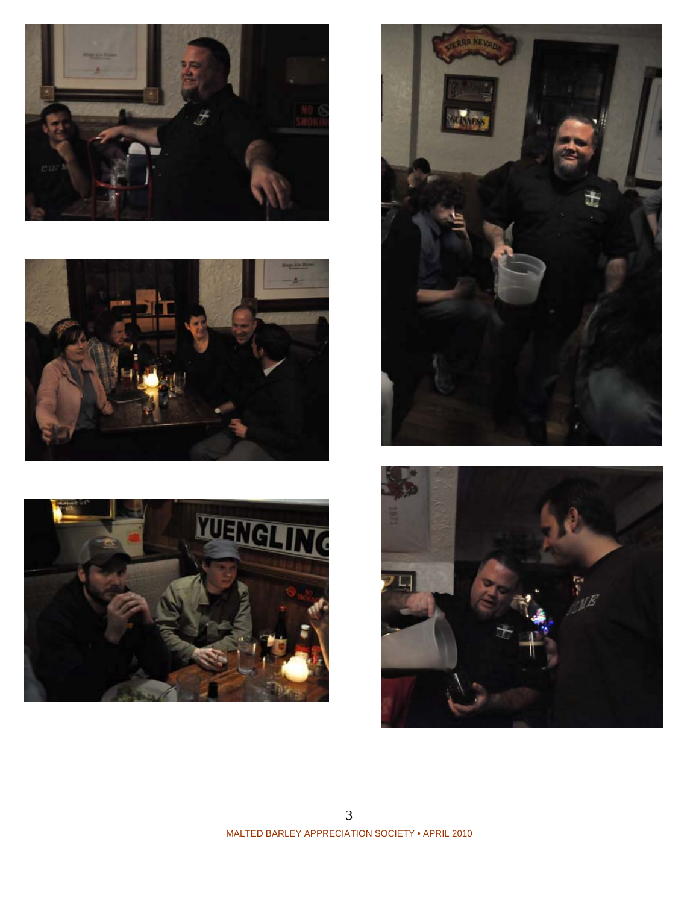







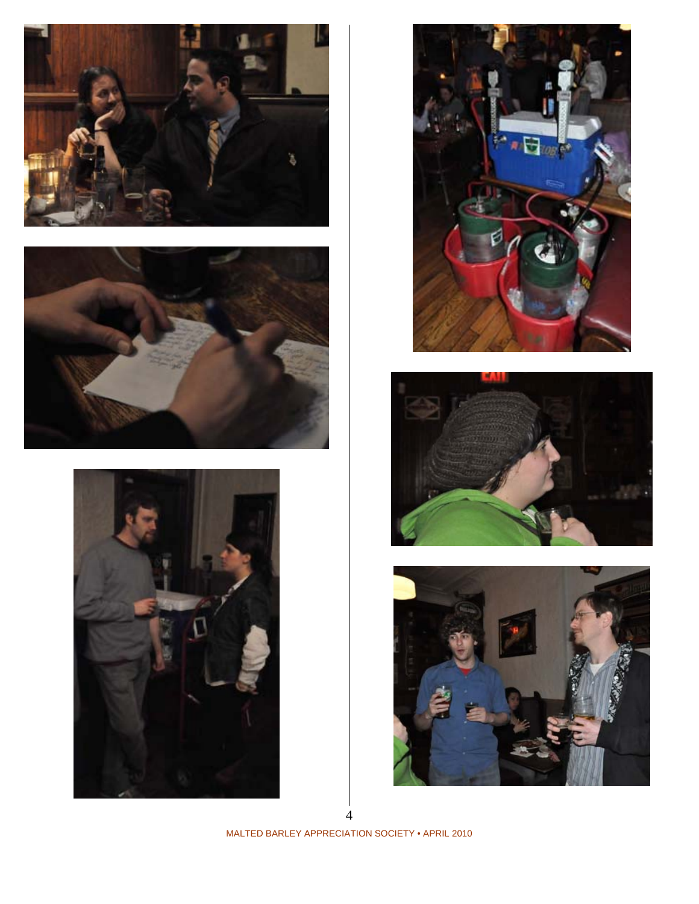











MALTED BARLEY APPRECIATION SOCIETY • APRIL 2010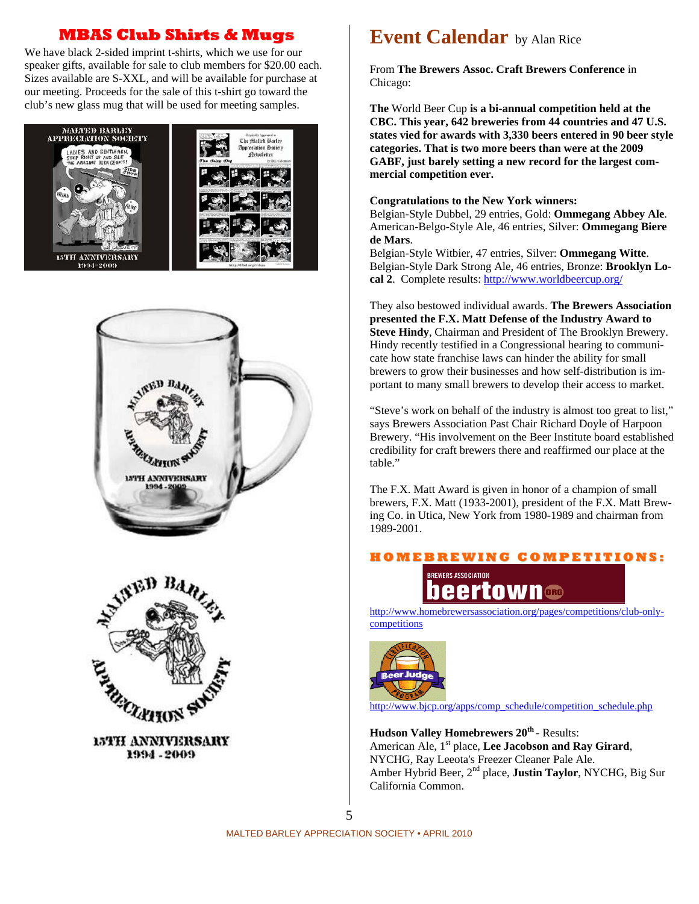# **MBAS Club Shirts & Mugs**

We have black 2-sided imprint t-shirts, which we use for our speaker gifts, available for sale to club members for \$20.00 each. Sizes available are S-XXL, and will be available for purchase at our meeting. Proceeds for the sale of this t-shirt go toward the club's new glass mug that will be used for meeting samples.







**15TH ANNIVERSARY** 1994 - 2009

# **Event Calendar** by Alan Rice

From **The Brewers Assoc. Craft Brewers Conference** in Chicago:

**The** World Beer Cup **is a bi-annual competition held at the CBC. This year, 642 breweries from 44 countries and 47 U.S. states vied for awards with 3,330 beers entered in 90 beer style categories. That is two more beers than were at the 2009 GABF, just barely setting a new record for the largest commercial competition ever.**

### **Congratulations to the New York winners:**

Belgian-Style Dubbel, 29 entries, Gold: **Ommegang Abbey Ale**. American-Belgo-Style Ale, 46 entries, Silver: **Ommegang Biere de Mars**.

Belgian-Style Witbier, 47 entries, Silver: **Ommegang Witte**. Belgian-Style Dark Strong Ale, 46 entries, Bronze: **Brooklyn Local 2**. Complete results: http://www.worldbeercup.org/

They also bestowed individual awards. **The Brewers Association presented the F.X. Matt Defense of the Industry Award to Steve Hindy**, Chairman and President of The Brooklyn Brewery. Hindy recently testified in a Congressional hearing to communicate how state franchise laws can hinder the ability for small brewers to grow their businesses and how self-distribution is important to many small brewers to develop their access to market.

"Steve's work on behalf of the industry is almost too great to list," says Brewers Association Past Chair Richard Doyle of Harpoon Brewery. "His involvement on the Beer Institute board established credibility for craft brewers there and reaffirmed our place at the table."

The F.X. Matt Award is given in honor of a champion of small brewers, F.X. Matt (1933-2001), president of the F.X. Matt Brewing Co. in Utica, New York from 1980-1989 and chairman from 1989-2001.

### **H O M E B R E WI N G C O M P E TI TI O N S:**



http://www.homebrewersassociation.org/pages/competitions/club-onlycompetitions



http://www.bjcp.org/apps/comp\_schedule/competition\_schedule.php

**Hudson Valley Homebrewers 20th** - Results: American Ale, 1<sup>st</sup> place, Lee Jacobson and Ray Girard, NYCHG, Ray Leeota's Freezer Cleaner Pale Ale. Amber Hybrid Beer, 2nd place, **Justin Taylor**, NYCHG, Big Sur California Common.